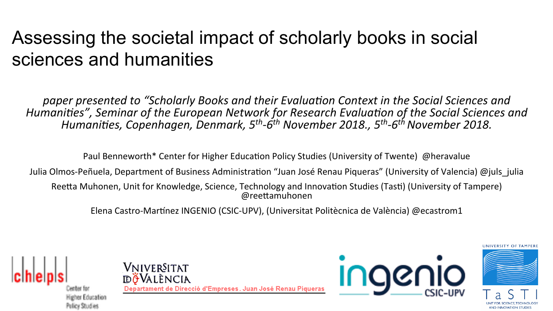#### Assessing the societal impact of scholarly books in social sciences and humanities

paper presented to "Scholarly Books and their Evaluation Context in the Social Sciences and Humanities", Seminar of the European Network for Research Evaluation of the Social Sciences and Humanities, Copenhagen, Denmark, 5<sup>th</sup>-6<sup>th</sup> November 2018., 5<sup>th</sup>-6<sup>th</sup> November 2018.

Paul Benneworth\* Center for Higher Education Policy Studies (University of Twente) @heravalue

Julia Olmos-Peñuela, Department of Business Administration "Juan José Renau Piqueras" (University of Valencia) @juls\_julia

Reetta Muhonen, Unit for Knowledge, Science, Technology and Innovation Studies (Tasti) (University of Tampere) @reettamuhonen

Elena Castro-Martínez INGENIO (CSIC-UPV), (Universitat Politècnica de València) @ecastrom1



Policy Studies

Vniver§itat **döV**alència Departament de Direcció d'Empreses, Juan José Renau Piqueras



**IINIVERSITY OF TAMPERE** 

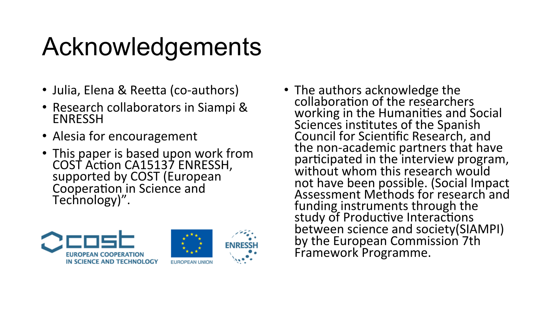## Acknowledgements

- Julia, Elena & Reetta (co-authors)
- Research collaborators in Siampi & ENRESSH
- Alesia for encouragement
- This paper is based upon work from COST Action CA15137 ENRESSH, supported by COST (European Cooperation in Science and Technology)".



• The authors acknowledge the collaboration of the researchers working in the Humanities and Social Sciences institutes of the Spanish Council for Scientific Research, and the non-academic partners that have participated in the interview program, without whom this research would not have been possible. (Social Impact Assessment Methods for research and funding instruments through the study of Productive Interactions between science and society(SIAMPI) by the European Commission 7th Framework Programme.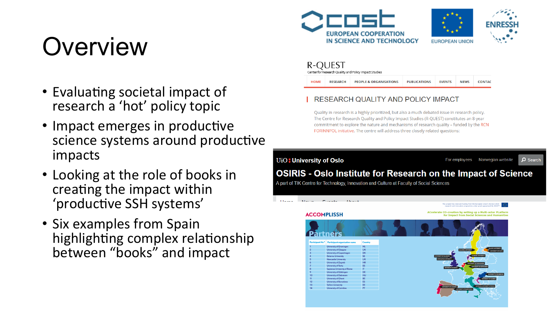## **Overview**

- Evaluating societal impact of research a 'hot' policy topic
- Impact emerges in productive science systems around productive impacts
- Looking at the role of books in creating the impact within 'productive SSH systems'
- Six examples from Spain highlighting complex relationship between "books" and impact





| R-QUEST<br>Center for Research Quality and Policy Impact Studies |                 |                                   |                     |               |             |               |  |
|------------------------------------------------------------------|-----------------|-----------------------------------|---------------------|---------------|-------------|---------------|--|
| <b>HOME</b>                                                      | <b>RESEARCH</b> | <b>PEOPLE &amp; ORGANISATIONS</b> | <b>PUBLICATIONS</b> | <b>EVENTS</b> | <b>NEWS</b> | <b>CONTAC</b> |  |

#### RESEARCH QUALITY AND POLICY IMPACT

Quality in research is a highly prioritized, but also a much debated issue in research policy. The Centre for Research Quality and Policy Impact Studies (R-QUEST) constitutes an 8-year commitment to explore the nature and mechanisms of research quality - funded by the RCN FORINNPOL initiative. The centre will address three closely related questions:

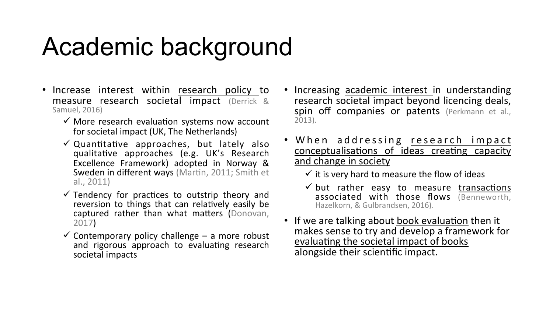#### Academic background

- Increase interest within research policy to measure research societal impact (Derrick & Samuel, 2016)
	- $\checkmark$  More research evaluation systems now account for societal impact (UK, The Netherlands)
	- $\checkmark$  Quantitative approaches, but lately also qualitative approaches (e.g. UK's Research Excellence Framework) adopted in Norway & Sweden in different ways (Martin, 2011; Smith et al., 2011)
	- $\checkmark$  Tendency for practices to outstrip theory and reversion to things that can relatively easily be captured rather than what matters (Donovan, 2017)
	- $\checkmark$  Contemporary policy challenge a more robust and rigorous approach to evaluating research societal impacts
- Increasing academic interest in understanding research societal impact beyond licencing deals, spin off companies or patents (Perkmann et al., 2013).
- When addressing research impact conceptualisations of ideas creating capacity and change in society
	- $\checkmark$  it is very hard to measure the flow of ideas
	- $\checkmark$  but rather easy to measure transactions associated with those flows (Benneworth, Hazelkorn, & Gulbrandsen, 2016).
- If we are talking about book evaluation then it makes sense to try and develop a framework for evaluating the societal impact of books alongside their scientific impact.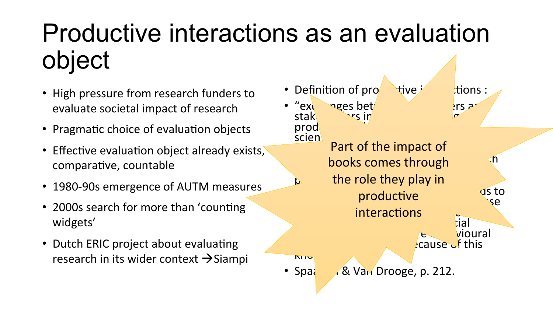## Productive interactions as an evaluation object

- High pressure from research funders to evaluate societal impact of research
- Pragmatic choice of evaluation objects
- Effective evaluation object already exists, comparative, countable
- 1980-90s emergence of AUTM measures
- 2000s search for more than 'counting widgets'
- Dutch ERIC project about evaluating research in its wider context  $\rightarrow$  Siampi

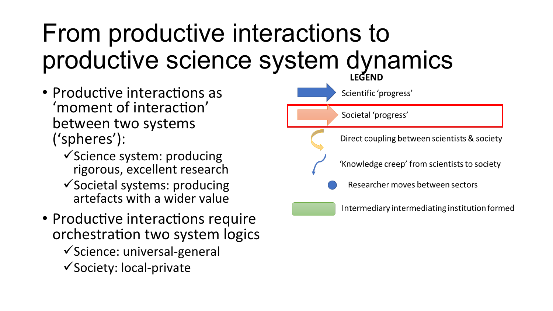# From productive interactions to productive science system dynamics

- Productive interactions as 'moment of interaction' between two systems ('spheres'):
	- $\checkmark$  Science system: producing rigorous, excellent research
	- $\checkmark$  Societal systems: producing artefacts with a wider value
- Productive interactions require orchestration two system logics
	- $\checkmark$ Science: universal-general
	- $\checkmark$  Society: local-private

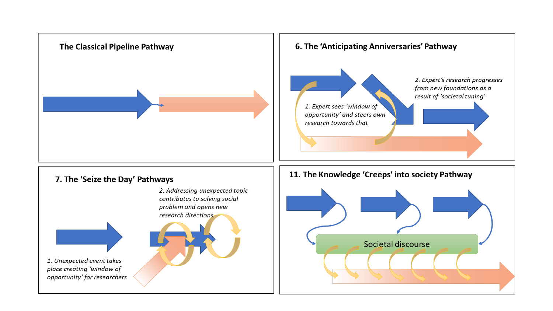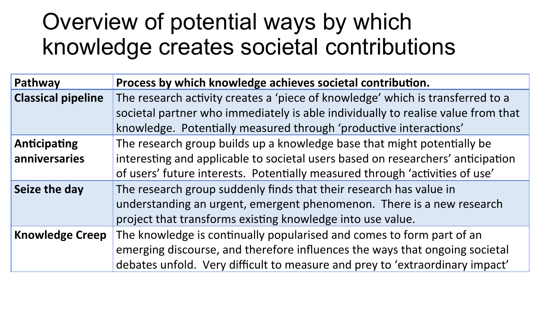#### Overview of potential ways by which knowledge creates societal contributions

| Pathway                   | Process by which knowledge achieves societal contribution.                                                                                                         |
|---------------------------|--------------------------------------------------------------------------------------------------------------------------------------------------------------------|
| <b>Classical pipeline</b> | The research activity creates a 'piece of knowledge' which is transferred to a<br>societal partner who immediately is able individually to realise value from that |
|                           | knowledge. Potentially measured through 'productive interactions'                                                                                                  |
| <b>Anticipating</b>       | The research group builds up a knowledge base that might potentially be                                                                                            |
| anniversaries             | interesting and applicable to societal users based on researchers' anticipation                                                                                    |
|                           | of users' future interests. Potentially measured through 'activities of use'                                                                                       |
| Seize the day             | The research group suddenly finds that their research has value in                                                                                                 |
|                           | understanding an urgent, emergent phenomenon. There is a new research                                                                                              |
|                           | project that transforms existing knowledge into use value.                                                                                                         |
| <b>Knowledge Creep</b>    | The knowledge is continually popularised and comes to form part of an                                                                                              |
|                           | emerging discourse, and therefore influences the ways that ongoing societal                                                                                        |
|                           | debates unfold. Very difficult to measure and prey to 'extraordinary impact'                                                                                       |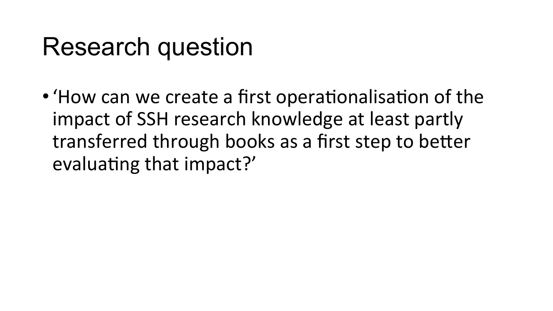#### Research question

• 'How can we create a first operationalisation of the impact of SSH research knowledge at least partly transferred through books as a first step to better evaluating that impact?'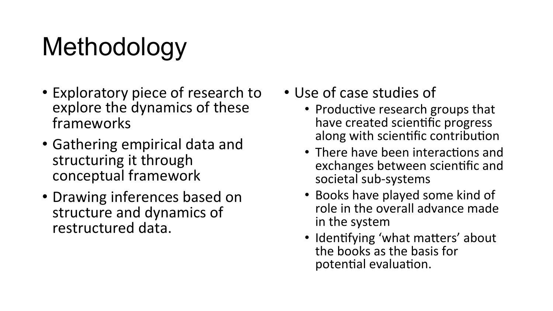## Methodology

- Exploratory piece of research to explore the dynamics of these frameworks
- Gathering empirical data and structuring it through conceptual framework
- Drawing inferences based on structure and dynamics of restructured data.
- Use of case studies of
	- Productive research groups that have created scientific progress along with scientific contribution
	- There have been interactions and exchanges between scientific and societal sub-systems
	- Books have played some kind of role in the overall advance made in the system
	- Identifying 'what matters' about the books as the basis for potential evaluation.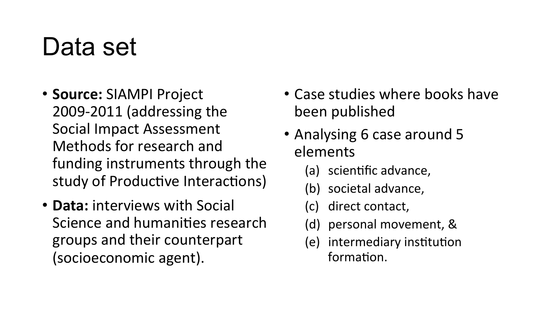#### Data set

- **Source: SIAMPI Project** 2009-2011 (addressing the Social Impact Assessment Methods for research and funding instruments through the study of Productive Interactions)
- **Data:** interviews with Social Science and humanities research groups and their counterpart (socioeconomic agent).
- Case studies where books have been published
- Analysing 6 case around 5 elements
	- (a) scientific advance,
	- (b) societal advance,
	- (c) direct contact,
	- (d) personal movement, &
	- (e) intermediary institution formation.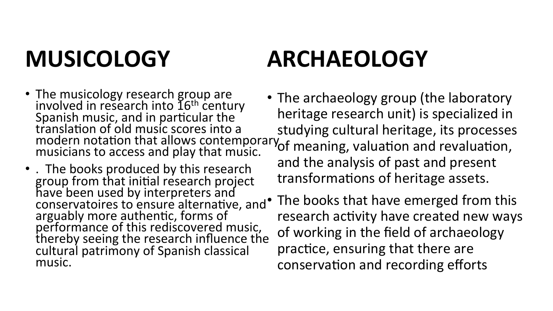#### **MUSICOLOGY**

#### **ARCHAEOLOGY**

- The musicology research group are<br>involved in research into 16<sup>th</sup> century involved in research into 16<sup>th</sup> century<br>Spanish music, and in particular the translation of old music scores into a modern notation that allows contemporary musicians to access and play that music.
- . The books produced by this research group from that initial research project have been used by interpreters and conservatoires to ensure alternative, and arguably more authentic, forms of performance of this rediscovered music, thereby seeing the research influence the cultural patrimony of Spanish classical music.
- The archaeology group (the laboratory heritage research unit) is specialized in studying cultural heritage, its processes  $\sigma$  meaning, valuation and revaluation, and the analysis of past and present transformations of heritage assets.
	- The books that have emerged from this research activity have created new ways of working in the field of archaeology practice, ensuring that there are conservation and recording efforts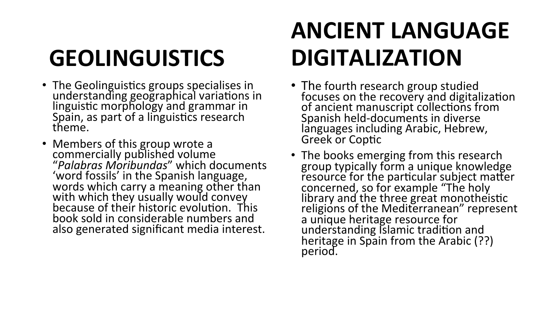### **GEOLINGUISTICS**

- The Geolinguistics groups specialises in<br>understanding geographical variations in linguistic morphology and grammar in Spain, as part of a linguistics research theme.
- Members of this group wrote a commercially published volume "*Palabras Moribundas*" which documents 'word fossils' in the Spanish language, words which carry a meaning other than with which they usually would convey because of their historic evolution. This book sold in considerable numbers and also generated significant media interest.

#### **ANCIENT LANGUAGE DIGITALIZATION**

- The fourth research group studied<br>
focuses on the recovery and digitalization of ancient manuscript collections from Spanish held-documents in diverse languages including Arabic, Hebrew, Greek or Coptic
- The books emerging from this research group typically form a unique knowledge resource for the particular subject matter concerned, so for example "The holy library and the three great monotheistic religions of the Mediterranean" represent a unique heritage resource for understanding Islamic tradition and heritage in Spain from the Arabic (??) period.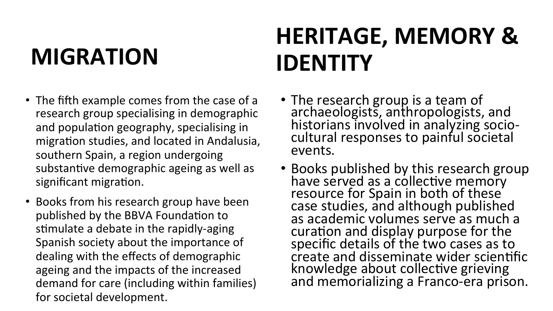#### **MIGRATION**

#### **HERITAGE, MEMORY & IDENTITY**

- The fifth example comes from the case of a research group specialising in demographic and population geography, specialising in migration studies, and located in Andalusia, southern Spain, a region undergoing substantive demographic ageing as well as significant migration.
- Books from his research group have been published by the BBVA Foundation to stimulate a debate in the rapidly-aging Spanish society about the importance of dealing with the effects of demographic ageing and the impacts of the increased demand for care (including within families) for societal development.
- The research group is a team of archaeologists, anthropologists, and historians involved in analyzing sociocultural responses to painful societal events.
- Books published by this research group have served as a collective memory resource for Spain in both of these case studies, and although published as academic volumes serve as much a curation and display purpose for the specific details of the two cases as to create and disseminate wider scientific knowledge about collective grieving and memorializing a Franco-era prison.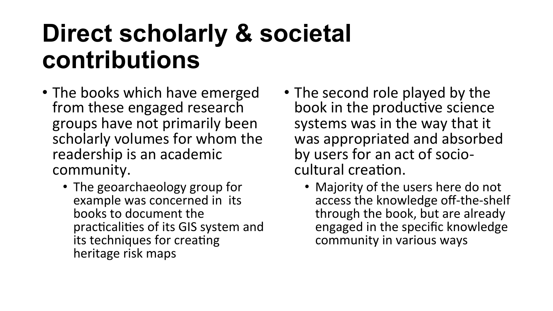#### **Direct scholarly & societal contributions**

- The books which have emerged from these engaged research groups have not primarily been scholarly volumes for whom the readership is an academic community.
	- The geoarchaeology group for example was concerned in its books to document the practicalities of its GIS system and its techniques for creating heritage risk maps
- The second role played by the book in the productive science systems was in the way that it was appropriated and absorbed by users for an act of sociocultural creation.
	- Majority of the users here do not access the knowledge off-the-shelf through the book, but are already engaged in the specific knowledge community in various ways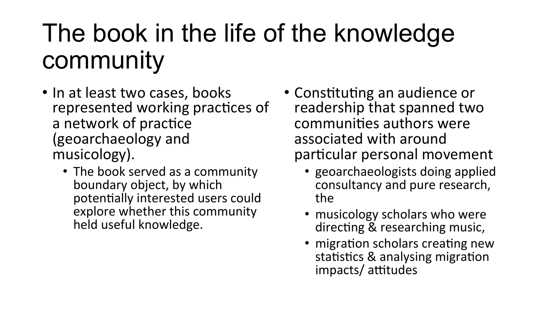## The book in the life of the knowledge community

- In at least two cases, books represented working practices of a network of practice (geoarchaeology and musicology).
	- The book served as a community boundary object, by which potentially interested users could explore whether this community held useful knowledge.
- Constituting an audience or readership that spanned two communities authors were associated with around particular personal movement
	- geoarchaeologists doing applied consultancy and pure research, the
	- musicology scholars who were directing & researching music,
	- migration scholars creating new statistics & analysing migration impacts/ attitudes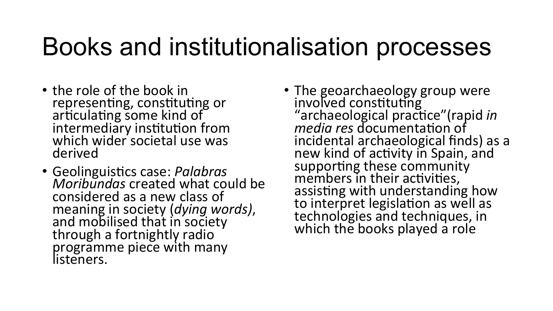#### Books and institutionalisation processes

- the role of the book in representing, constituting or articulating some kind of intermediary institution from which wider societal use was derived
- Geolinguistics case: *Palabras* Moribundas created what could be considered as a new class of meaning in society (*dying words*), and mobilised that in society through a fortnightly radio programme piece with many listeners.
- The geoarchaeology group were involved constituting "archaeological practice"(rapid in *media res* documentation of incidental archaeological finds) as a new kind of activity in Spain, and supporting these community members in their activities, assisting with understanding how to interpret legislation as well as technologies and techniques, in which the books played a role